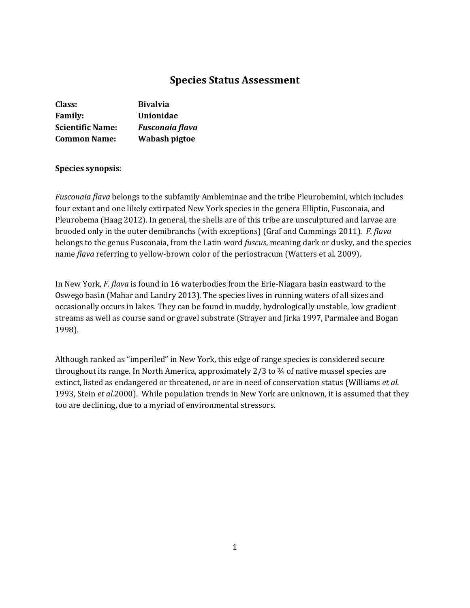# **Species Status Assessment**

| Class:                  | <b>Bivalvia</b>        |
|-------------------------|------------------------|
| <b>Family:</b>          | <b>Unionidae</b>       |
| <b>Scientific Name:</b> | <b>Fusconaia flava</b> |
| <b>Common Name:</b>     | Wabash pigtoe          |

## **Species synopsis**:

*Fusconaia flava* belongs to the subfamily Ambleminae and the tribe Pleurobemini, which includes four extant and one likely extirpated New York species in the genera Elliptio, Fusconaia, and Pleurobema (Haag 2012). In general, the shells are of this tribe are unsculptured and larvae are brooded only in the outer demibranchs (with exceptions) (Graf and Cummings 2011). *F. flava* belongs to the genus Fusconaia, from the Latin word *fuscus*, meaning dark or dusky, and the species name *flava* referring to yellow-brown color of the periostracum (Watters et al. 2009).

In New York, *F. flava* is found in 16 waterbodies from the Erie-Niagara basin eastward to the Oswego basin (Mahar and Landry 2013). The species lives in running waters of all sizes and occasionally occurs in lakes. They can be found in muddy, hydrologically unstable, low gradient streams as well as course sand or gravel substrate (Strayer and Jirka 1997, Parmalee and Bogan 1998).

Although ranked as "imperiled" in New York, this edge of range species is considered secure throughout its range. In North America, approximately 2/3 to ¾ of native mussel species are extinct, listed as endangered or threatened, or are in need of conservation status (Williams *et al.*  1993, Stein *et al.*2000). While population trends in New York are unknown, it is assumed that they too are declining, due to a myriad of environmental stressors.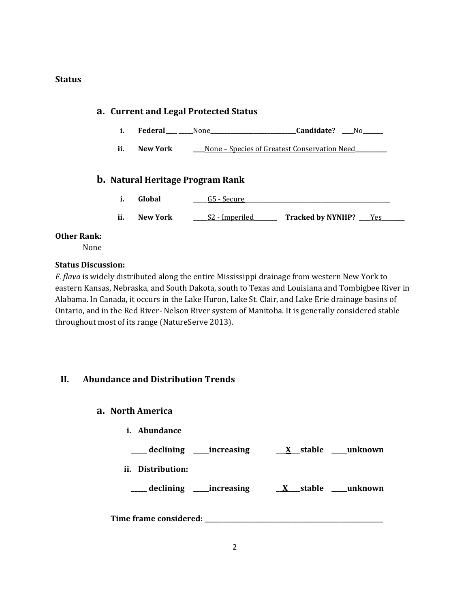## **Status**

# **a. Current and Legal Protected Status i. Federal\_\_\_\_ \_\_\_\_\_**None**\_\_\_\_\_\_\_\_\_\_\_\_\_\_\_\_\_\_\_\_\_\_\_\_\_\_\_\_\_\_Candidate? \_\_\_\_**No**\_\_\_\_\_\_\_ ii. New York \_\_\_\_**None – Species of Greatest Conservation Need**\_\_\_\_\_\_\_\_\_\_\_ b. Natural Heritage Program Rank i. Global \_\_\_\_\_**G5 - Secure**\_\_\_\_\_\_\_\_\_\_\_\_\_\_\_\_\_\_\_\_\_\_\_\_\_\_\_\_\_\_\_\_\_\_\_\_\_\_\_\_\_\_\_\_\_\_\_\_\_\_\_ ii. New York \_\_\_\_\_**S2 - Imperiled**\_\_\_\_\_\_\_\_ Tracked by NYNHP? \_\_\_\_**Yes**\_\_\_\_\_\_\_\_**

## **Other Rank:**

None

## **Status Discussion:**

*F. flava* is widely distributed along the entire Mississippi drainage from western New York to eastern Kansas, Nebraska, and South Dakota, south to Texas and Louisiana and Tombigbee River in Alabama. In Canada, it occurs in the Lake Huron, Lake St. Clair, and Lake Erie drainage basins of Ontario, and in the Red River- Nelson River system of Manitoba. It is generally considered stable throughout most of its range (NatureServe 2013).

## **II. Abundance and Distribution Trends**

## **a. North America**

**i. Abundance**

**\_\_\_\_\_ declining \_\_\_\_\_increasing \_\_\_X\_\_\_stable \_\_\_\_\_unknown**

**ii. Distribution:**

**\_\_\_\_\_ declining \_\_\_\_\_increasing \_\_X\_\_\_\_stable \_\_\_\_\_unknown**

**Time frame considered: \_\_\_\_\_\_\_\_\_\_\_\_\_\_\_\_\_\_\_\_\_\_\_\_\_\_\_\_\_\_\_\_\_\_\_\_\_\_\_\_\_\_\_\_\_\_\_\_\_\_\_\_\_\_\_\_\_**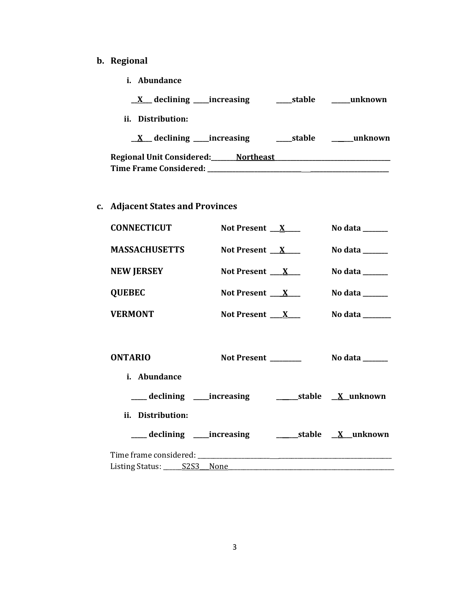# **b. Regional**

**i. Abundance**

| $\underline{X}$ declining _____increasing | stable | unknown |
|-------------------------------------------|--------|---------|
| ii. Distribution:                         |        |         |
| $X$ declining _____increasing             | stable | unknown |
| Regional Unit Considered: Northeast       |        |         |
| <b>Time Frame Considered:</b>             |        |         |

**c. Adjacent States and Provinces**

| <b>CONNECTICUT</b>             | Not Present $X$                                                               | No data $\_\_\_\_\_\_\_\_\_\_\_\_\$                                              |
|--------------------------------|-------------------------------------------------------------------------------|----------------------------------------------------------------------------------|
| <b>MASSACHUSETTS</b>           | Not Present $X$                                                               | No data $\_\_\_\_\_\_\_\_\_\_\_\_\$                                              |
| <b>NEW JERSEY</b>              | Not Present $\mathbf{X}$                                                      | No data $\_\_\_\_\_\_\_\_\_\_\_\_\$                                              |
| <b>QUEBEC</b>                  | Not Present $\mathbf{X}$                                                      | No data $\_\_\_\_\_\_\_\_\_\_\_\_\_\_\_\_\_\_\_\_\_\_\_\_\_\_\_\_\_\_\_\_\_\_\_$ |
| <b>VERMONT</b>                 | Not Present $X_{-}$                                                           | No data $\frac{1}{\sqrt{1-\frac{1}{2}}\cdot\frac{1}{\sqrt{1-\frac{1}{2}}}}$      |
| <b>ONTARIO</b><br>i. Abundance | Not Present _______                                                           | No data $\frac{1}{\sqrt{1-\frac{1}{2}}\cdot\frac{1}{\sqrt{1-\frac{1}{2}}}}$      |
|                                |                                                                               |                                                                                  |
| ii. Distribution:              | ____ declining _____increasing _________________stable __ <u>X___</u> unknown |                                                                                  |
|                                |                                                                               |                                                                                  |
|                                |                                                                               |                                                                                  |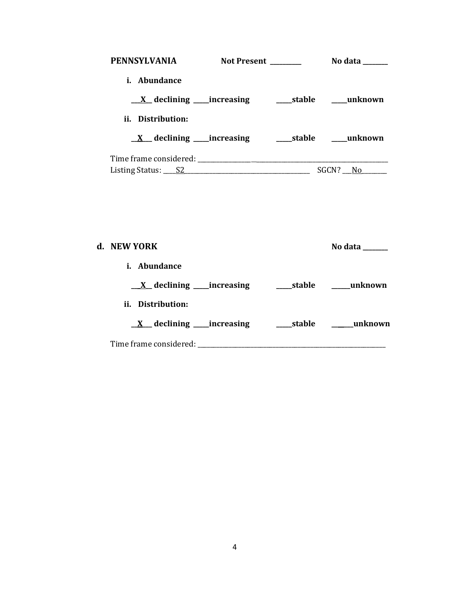| <b>PENNSYLVANIA</b>                             | Not Present ______ | No data                         |
|-------------------------------------------------|--------------------|---------------------------------|
| i. Abundance                                    |                    |                                 |
| $X$ declining _____ increasing                  |                    | stable                  unknown |
| ii. Distribution:                               |                    |                                 |
| $\underline{X}$ declining ____increasing        |                    | stable unknown                  |
| Time frame considered:                          |                    |                                 |
| Listing Status: $\underline{\qquad \qquad }$ S2 |                    | SGCN?<br>No.                    |

| d. NEW YORK                                |            | No data |
|--------------------------------------------|------------|---------|
| <i>i.</i> Abundance                        |            |         |
| $\underline{X}$ declining _____ increasing | ____stable | unknown |
| ii. Distribution:                          |            |         |
| $\underline{X}$ declining _____increasing  | stable     | unknown |
| Time frame considered: ___                 |            |         |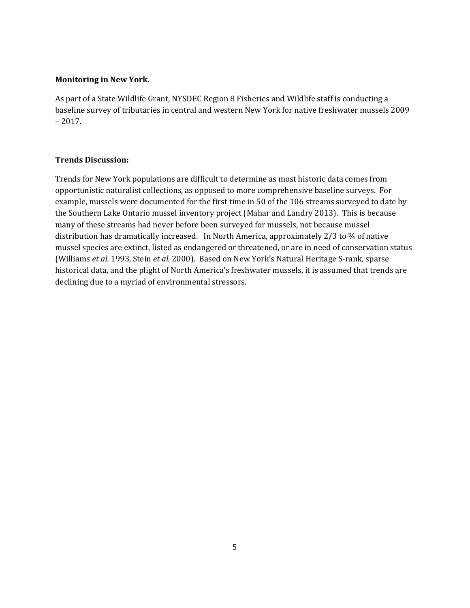## **Monitoring in New York.**

As part of a State Wildlife Grant, NYSDEC Region 8 Fisheries and Wildlife staff is conducting a baseline survey of tributaries in central and western New York for native freshwater mussels 2009 – 2017.

## **Trends Discussion:**

Trends for New York populations are difficult to determine as most historic data comes from opportunistic naturalist collections, as opposed to more comprehensive baseline surveys. For example, mussels were documented for the first time in 50 of the 106 streams surveyed to date by the Southern Lake Ontario mussel inventory project (Mahar and Landry 2013). This is because many of these streams had never before been surveyed for mussels, not because mussel distribution has dramatically increased. In North America, approximately 2/3 to 3⁄4 of native mussel species are extinct, listed as endangered or threatened, or are in need of conservation status (Williams *et al.* 1993, Stein *et al.* 2000). Based on New York's Natural Heritage S-rank, sparse historical data, and the plight of North America's freshwater mussels, it is assumed that trends are declining due to a myriad of environmental stressors.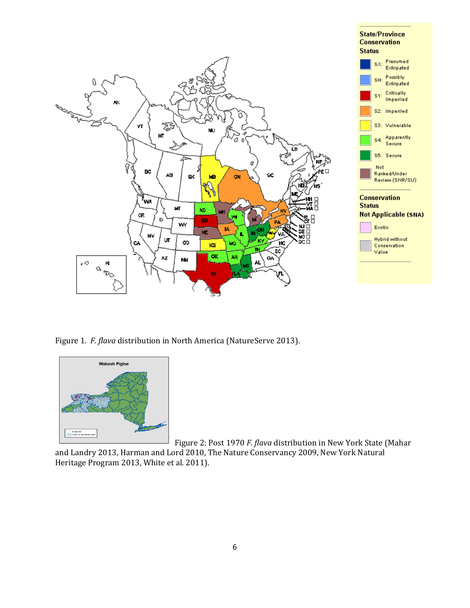

Figure 1. *F. flava* distribution in North America (NatureServe 2013).



Figure 2: Post 1970 *F. flava* distribution in New York State (Mahar and Landry 2013, Harman and Lord 2010, The Nature Conservancy 2009, New York Natural Heritage Program 2013, White et al. 2011).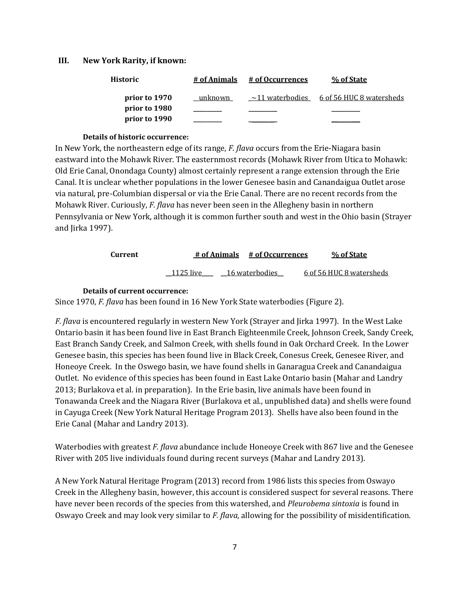#### **III. New York Rarity, if known:**

| Historic      | # of Animals | # of Occurrences      | % of State               |
|---------------|--------------|-----------------------|--------------------------|
| prior to 1970 | unknown      | $\sim$ 11 waterbodies | 6 of 56 HUC 8 watersheds |
| prior to 1980 |              |                       |                          |
| prior to 1990 |              |                       |                          |

#### **Details of historic occurrence:**

In New York, the northeastern edge of its range, *F. flava* occurs from the Erie-Niagara basin eastward into the Mohawk River. The easternmost records (Mohawk River from Utica to Mohawk: Old Erie Canal, Onondaga County) almost certainly represent a range extension through the Erie Canal. It is unclear whether populations in the lower Genesee basin and Canandaigua Outlet arose via natural, pre-Columbian dispersal or via the Erie Canal. There are no recent records from the Mohawk River. Curiously, *F. flava* has never been seen in the Allegheny basin in northern Pennsylvania or New York, although it is common further south and west in the Ohio basin (Strayer and Jirka 1997).

| Current |           | # of Animals # of Occurrences |                | % of State               |
|---------|-----------|-------------------------------|----------------|--------------------------|
|         | 1125 live |                               | 16 waterbodies | 6 of 56 HUC 8 watersheds |

#### **Details of current occurrence:**

Since 1970, *F. flava* has been found in 16 New York State waterbodies (Figure 2).

*F. flava* is encountered regularly in western New York (Strayer and Jirka 1997). In the West Lake Ontario basin it has been found live in East Branch Eighteenmile Creek, Johnson Creek, Sandy Creek, East Branch Sandy Creek, and Salmon Creek, with shells found in Oak Orchard Creek. In the Lower Genesee basin, this species has been found live in Black Creek, Conesus Creek, Genesee River, and Honeoye Creek. In the Oswego basin, we have found shells in Ganaragua Creek and Canandaigua Outlet. No evidence of this species has been found in East Lake Ontario basin (Mahar and Landry 2013; Burlakova et al. in preparation). In the Erie basin, live animals have been found in Tonawanda Creek and the Niagara River (Burlakova et al., unpublished data) and shells were found in Cayuga Creek (New York Natural Heritage Program 2013). Shells have also been found in the Erie Canal (Mahar and Landry 2013).

Waterbodies with greatest *F. flava* abundance include Honeoye Creek with 867 live and the Genesee River with 205 live individuals found during recent surveys (Mahar and Landry 2013).

A New York Natural Heritage Program (2013) record from 1986 lists this species from Oswayo Creek in the Allegheny basin, however, this account is considered suspect for several reasons. There have never been records of the species from this watershed, and *Pleurobema sintoxia* is found in Oswayo Creek and may look very similar to *F. flava*, allowing for the possibility of misidentification.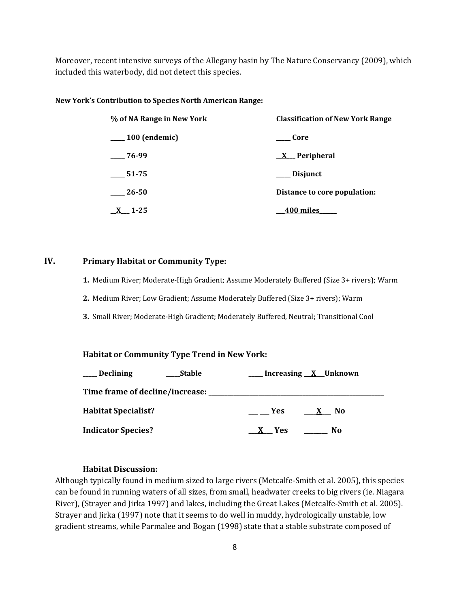Moreover, recent intensive surveys of the Allegany basin by The Nature Conservancy (2009), which included this waterbody, did not detect this species.

#### **New York's Contribution to Species North American Range:**

| % of NA Range in New York | <b>Classification of New York Range</b> |  |  |
|---------------------------|-----------------------------------------|--|--|
| $\_\_100$ (endemic)       | Core                                    |  |  |
| $-76-99$                  | $\underline{X}$ Peripheral              |  |  |
| 51-75                     | ___ Disjunct                            |  |  |
| 26-50                     | Distance to core population:            |  |  |
| $\underline{X}$ 1-25      | 400 miles                               |  |  |

#### **IV. Primary Habitat or Community Type:**

**1.** Medium River; Moderate-High Gradient; Assume Moderately Buffered (Size 3+ rivers); Warm

**2.** Medium River; Low Gradient; Assume Moderately Buffered (Size 3+ rivers); Warm

**3.** Small River; Moderate-High Gradient; Moderately Buffered, Neutral; Transitional Cool

## **Habitat or Community Type Trend in New York:**

| <b>Declining</b>                         | Stable |                   | _Increasing <u>X</u> Unknown |
|------------------------------------------|--------|-------------------|------------------------------|
| Time frame of decline/increase: ________ |        |                   |                              |
| <b>Habitat Specialist?</b>               |        | <b>Example SE</b> | No.<br>$\mathbf{x}$          |
| <b>Indicator Species?</b>                |        | $X$ Yes           | No.                          |

## **Habitat Discussion:**

Although typically found in medium sized to large rivers (Metcalfe-Smith et al. 2005), this species can be found in running waters of all sizes, from small, headwater creeks to big rivers (ie. Niagara River), (Strayer and Jirka 1997) and lakes, including the Great Lakes (Metcalfe-Smith et al. 2005). Strayer and Jirka (1997) note that it seems to do well in muddy, hydrologically unstable, low gradient streams, while Parmalee and Bogan (1998) state that a stable substrate composed of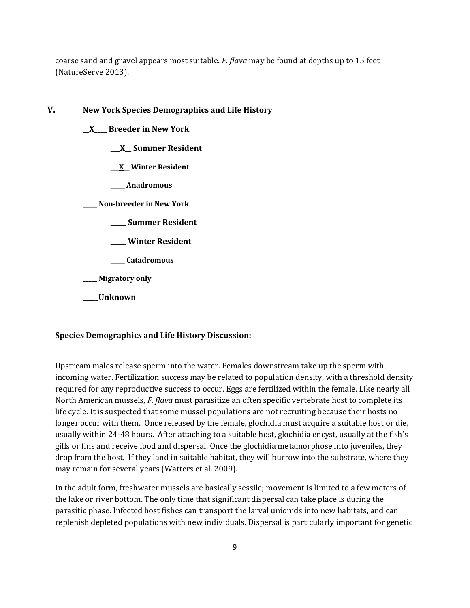coarse sand and gravel appears most suitable. *F. flava* may be found at depths up to 15 feet (NatureServe 2013).

- **V. New York Species Demographics and Life History**
	- **\_\_X\_\_\_\_ Breeder in New York**
		- **\_\_\_X\_\_ Summer Resident**
		- **\_\_\_X\_\_ Winter Resident**
		- **\_\_\_\_\_ Anadromous**

**\_\_\_\_\_ Non-breeder in New York**

- **\_\_\_\_\_ Summer Resident**
- **\_\_\_\_\_ Winter Resident**
- **\_\_\_\_\_ Catadromous**

**\_\_\_\_\_ Migratory only**

**\_\_\_\_\_Unknown**

#### **Species Demographics and Life History Discussion:**

Upstream males release sperm into the water. Females downstream take up the sperm with incoming water. Fertilization success may be related to population density, with a threshold density required for any reproductive success to occur. Eggs are fertilized within the female. Like nearly all North American mussels, *F. flava* must parasitize an often specific vertebrate host to complete its life cycle. It is suspected that some mussel populations are not recruiting because their hosts no longer occur with them. Once released by the female, glochidia must acquire a suitable host or die, usually within 24-48 hours. After attaching to a suitable host, glochidia encyst, usually at the fish's gills or fins and receive food and dispersal. Once the glochidia metamorphose into juveniles, they drop from the host. If they land in suitable habitat, they will burrow into the substrate, where they may remain for several years (Watters et al. 2009).

In the adult form, freshwater mussels are basically sessile; movement is limited to a few meters of the lake or river bottom. The only time that significant dispersal can take place is during the parasitic phase. Infected host fishes can transport the larval unionids into new habitats, and can replenish depleted populations with new individuals. Dispersal is particularly important for genetic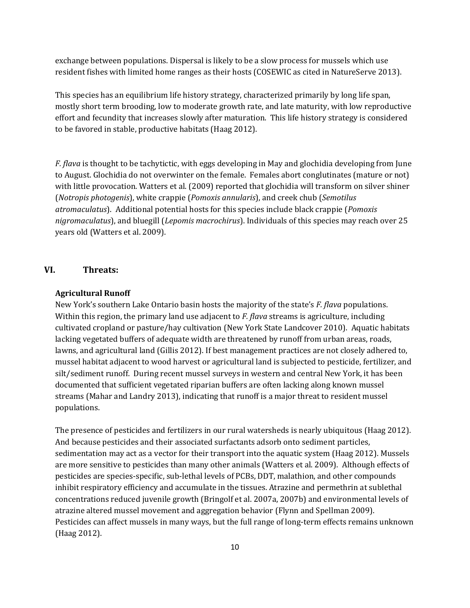exchange between populations. Dispersal is likely to be a slow process for mussels which use resident fishes with limited home ranges as their hosts (COSEWIC as cited in NatureServe 2013).

This species has an equilibrium life history strategy, characterized primarily by long life span, mostly short term brooding, low to moderate growth rate, and late maturity, with low reproductive effort and fecundity that increases slowly after maturation. This life history strategy is considered to be favored in stable, productive habitats (Haag 2012).

*F. flava* is thought to be tachytictic, with eggs developing in May and glochidia developing from June to August. Glochidia do not overwinter on the female. Females abort conglutinates (mature or not) with little provocation. Watters et al. (2009) reported that glochidia will transform on silver shiner (*Notropis photogenis*), white crappie (*Pomoxis annularis*), and creek chub (*Semotilus atromaculatus*). Additional potential hosts for this species include black crappie (*Pomoxis nigromaculatus*), and bluegill (*Lepomis macrochirus*). Individuals of this species may reach over 25 years old (Watters et al. 2009).

## **VI. Threats:**

#### **Agricultural Runoff**

New York's southern Lake Ontario basin hosts the majority of the state's *F. flava* populations. Within this region, the primary land use adjacent to *F. flava* streams is agriculture, including cultivated cropland or pasture/hay cultivation (New York State Landcover 2010). Aquatic habitats lacking vegetated buffers of adequate width are threatened by runoff from urban areas, roads, lawns, and agricultural land (Gillis 2012). If best management practices are not closely adhered to, mussel habitat adjacent to wood harvest or agricultural land is subjected to pesticide, fertilizer, and silt/sediment runoff. During recent mussel surveys in western and central New York, it has been documented that sufficient vegetated riparian buffers are often lacking along known mussel streams (Mahar and Landry 2013), indicating that runoff is a major threat to resident mussel populations.

The presence of pesticides and fertilizers in our rural watersheds is nearly ubiquitous (Haag 2012). And because pesticides and their associated surfactants adsorb onto sediment particles, sedimentation may act as a vector for their transport into the aquatic system (Haag 2012). Mussels are more sensitive to pesticides than many other animals (Watters et al. 2009). Although effects of pesticides are species-specific, sub-lethal levels of PCBs, DDT, malathion, and other compounds inhibit respiratory efficiency and accumulate in the tissues. Atrazine and permethrin at sublethal concentrations reduced juvenile growth (Bringolf et al. 2007a, 2007b) and environmental levels of atrazine altered mussel movement and aggregation behavior (Flynn and Spellman 2009). Pesticides can affect mussels in many ways, but the full range of long-term effects remains unknown (Haag 2012).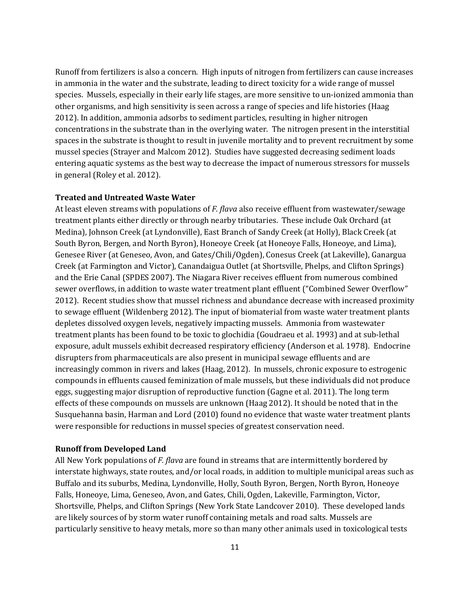Runoff from fertilizers is also a concern. High inputs of nitrogen from fertilizers can cause increases in ammonia in the water and the substrate, leading to direct toxicity for a wide range of mussel species. Mussels, especially in their early life stages, are more sensitive to un-ionized ammonia than other organisms, and high sensitivity is seen across a range of species and life histories (Haag 2012). In addition, ammonia adsorbs to sediment particles, resulting in higher nitrogen concentrations in the substrate than in the overlying water. The nitrogen present in the interstitial spaces in the substrate is thought to result in juvenile mortality and to prevent recruitment by some mussel species (Strayer and Malcom 2012). Studies have suggested decreasing sediment loads entering aquatic systems as the best way to decrease the impact of numerous stressors for mussels in general (Roley et al. 2012).

#### **Treated and Untreated Waste Water**

At least eleven streams with populations of *F. flava* also receive effluent from wastewater/sewage treatment plants either directly or through nearby tributaries. These include Oak Orchard (at Medina), Johnson Creek (at Lyndonville), East Branch of Sandy Creek (at Holly), Black Creek (at South Byron, Bergen, and North Byron), Honeoye Creek (at Honeoye Falls, Honeoye, and Lima), Genesee River (at Geneseo, Avon, and Gates/Chili/Ogden), Conesus Creek (at Lakeville), Ganargua Creek (at Farmington and Victor), Canandaigua Outlet (at Shortsville, Phelps, and Clifton Springs) and the Erie Canal (SPDES 2007). The Niagara River receives effluent from numerous combined sewer overflows, in addition to waste water treatment plant effluent ("Combined Sewer Overflow" 2012). Recent studies show that mussel richness and abundance decrease with increased proximity to sewage effluent (Wildenberg 2012). The input of biomaterial from waste water treatment plants depletes dissolved oxygen levels, negatively impacting mussels. Ammonia from wastewater treatment plants has been found to be toxic to glochidia (Goudraeu et al. 1993) and at sub-lethal exposure, adult mussels exhibit decreased respiratory efficiency (Anderson et al*.* 1978). Endocrine disrupters from pharmaceuticals are also present in municipal sewage effluents and are increasingly common in rivers and lakes (Haag, 2012). In mussels, chronic exposure to estrogenic compounds in effluents caused feminization of male mussels, but these individuals did not produce eggs, suggesting major disruption of reproductive function (Gagne et al. 2011). The long term effects of these compounds on mussels are unknown (Haag 2012). It should be noted that in the Susquehanna basin, Harman and Lord (2010) found no evidence that waste water treatment plants were responsible for reductions in mussel species of greatest conservation need.

#### **Runoff from Developed Land**

All New York populations of *F. flava* are found in streams that are intermittently bordered by interstate highways, state routes, and/or local roads, in addition to multiple municipal areas such as Buffalo and its suburbs, Medina, Lyndonville, Holly, South Byron, Bergen, North Byron, Honeoye Falls, Honeoye, Lima, Geneseo, Avon, and Gates, Chili, Ogden, Lakeville, Farmington, Victor, Shortsville, Phelps, and Clifton Springs (New York State Landcover 2010). These developed lands are likely sources of by storm water runoff containing metals and road salts. Mussels are particularly sensitive to heavy metals, more so than many other animals used in toxicological tests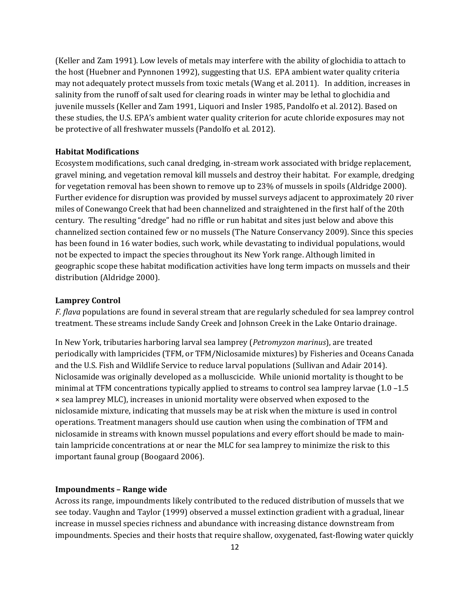(Keller and Zam 1991). Low levels of metals may interfere with the ability of glochidia to attach to the host (Huebner and Pynnonen 1992), suggesting that U.S. EPA ambient water quality criteria may not adequately protect mussels from toxic metals (Wang et al. 2011). In addition, increases in salinity from the runoff of salt used for clearing roads in winter may be lethal to glochidia and juvenile mussels (Keller and Zam 1991, Liquori and Insler 1985, Pandolfo et al. 2012). Based on these studies, the U.S. EPA's ambient water quality criterion for acute chloride exposures may not be protective of all freshwater mussels (Pandolfo et al. 2012).

## **Habitat Modifications**

Ecosystem modifications, such canal dredging, in-stream work associated with bridge replacement, gravel mining, and vegetation removal kill mussels and destroy their habitat. For example, dredging for vegetation removal has been shown to remove up to 23% of mussels in spoils (Aldridge 2000). Further evidence for disruption was provided by mussel surveys adjacent to approximately 20 river miles of Conewango Creek that had been channelized and straightened in the first half of the 20th century. The resulting "dredge" had no riffle or run habitat and sites just below and above this channelized section contained few or no mussels (The Nature Conservancy 2009). Since this species has been found in 16 water bodies, such work, while devastating to individual populations, would not be expected to impact the species throughout its New York range. Although limited in geographic scope these habitat modification activities have long term impacts on mussels and their distribution (Aldridge 2000).

#### **Lamprey Control**

*F. flava* populations are found in several stream that are regularly scheduled for sea lamprey control treatment. These streams include Sandy Creek and Johnson Creek in the Lake Ontario drainage.

In New York, tributaries harboring larval sea lamprey (*Petromyzon marinus*), are treated periodically with lampricides (TFM, or TFM/Niclosamide mixtures) by Fisheries and Oceans Canada and the U.S. Fish and Wildlife Service to reduce larval populations (Sullivan and Adair 2014). Niclosamide was originally developed as a molluscicide. While unionid mortality is thought to be minimal at TFM concentrations typically applied to streams to control sea lamprey larvae (1.0 –1.5 × sea lamprey MLC), increases in unionid mortality were observed when exposed to the niclosamide mixture, indicating that mussels may be at risk when the mixture is used in control operations. Treatment managers should use caution when using the combination of TFM and niclosamide in streams with known mussel populations and every effort should be made to maintain lampricide concentrations at or near the MLC for sea lamprey to minimize the risk to this important faunal group (Boogaard 2006).

#### **Impoundments – Range wide**

Across its range, impoundments likely contributed to the reduced distribution of mussels that we see today. Vaughn and Taylor (1999) observed a mussel extinction gradient with a gradual, linear increase in mussel species richness and abundance with increasing distance downstream from impoundments. Species and their hosts that require shallow, oxygenated, fast-flowing water quickly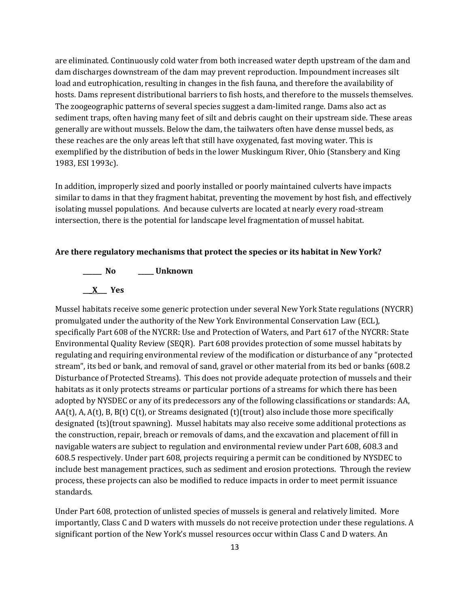are eliminated. Continuously cold water from both increased water depth upstream of the dam and dam discharges downstream of the dam may prevent reproduction. Impoundment increases silt load and eutrophication, resulting in changes in the fish fauna, and therefore the availability of hosts. Dams represent distributional barriers to fish hosts, and therefore to the mussels themselves. The zoogeographic patterns of several species suggest a dam-limited range. Dams also act as sediment traps, often having many feet of silt and debris caught on their upstream side. These areas generally are without mussels. Below the dam, the tailwaters often have dense mussel beds, as these reaches are the only areas left that still have oxygenated, fast moving water. This is exemplified by the distribution of beds in the lower Muskingum River, Ohio (Stansbery and King 1983, ESI 1993c).

In addition, improperly sized and poorly installed or poorly maintained culverts have impacts similar to dams in that they fragment habitat, preventing the movement by host fish, and effectively isolating mussel populations. And because culverts are located at nearly every road-stream intersection, there is the potential for landscape level fragmentation of mussel habitat.

#### **Are there regulatory mechanisms that protect the species or its habitat in New York?**



Mussel habitats receive some generic protection under several New York State regulations (NYCRR) promulgated under the authority of the New York Environmental Conservation Law (ECL), specifically Part 608 of the NYCRR: Use and Protection of Waters, and Part 617 of the NYCRR: State Environmental Quality Review (SEQR). Part 608 provides protection of some mussel habitats by regulating and requiring environmental review of the modification or disturbance of any "protected stream", its bed or bank, and removal of sand, gravel or other material from its bed or banks (608.2 Disturbance of Protected Streams). This does not provide adequate protection of mussels and their habitats as it only protects streams or particular portions of a streams for which there has been adopted by NYSDEC or any of its predecessors any of the following classifications or standards: AA,  $AA(t)$ , A,  $A(t)$ , B,  $B(t)$  C(t), or Streams designated (t)(trout) also include those more specifically designated (ts)(trout spawning). Mussel habitats may also receive some additional protections as the construction, repair, breach or removals of dams, and the excavation and placement of fill in navigable waters are subject to regulation and environmental review under Part 608, 608.3 and 608.5 respectively. Under part 608, projects requiring a permit can be conditioned by NYSDEC to include best management practices, such as sediment and erosion protections. Through the review process, these projects can also be modified to reduce impacts in order to meet permit issuance standards.

Under Part 608, protection of unlisted species of mussels is general and relatively limited. More importantly, Class C and D waters with mussels do not receive protection under these regulations. A significant portion of the New York's mussel resources occur within Class C and D waters. An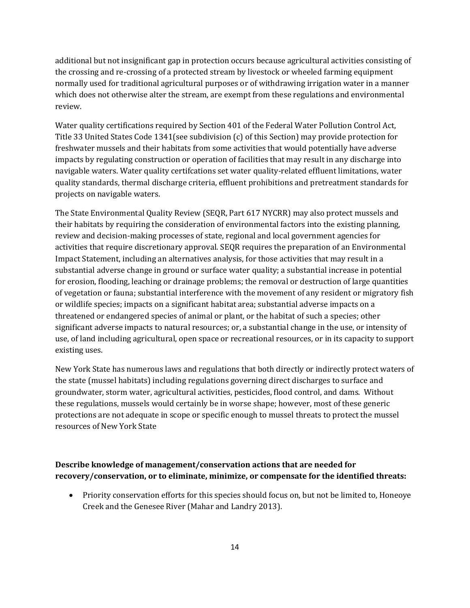additional but not insignificant gap in protection occurs because agricultural activities consisting of the crossing and re-crossing of a protected stream by livestock or wheeled farming equipment normally used for traditional agricultural purposes or of withdrawing irrigation water in a manner which does not otherwise alter the stream, are exempt from these regulations and environmental review.

Water quality certifications required by Section 401 of the Federal Water Pollution Control Act, Title 33 United States Code 1341(see subdivision (c) of this Section) may provide protection for freshwater mussels and their habitats from some activities that would potentially have adverse impacts by regulating construction or operation of facilities that may result in any discharge into navigable waters. Water quality certifcations set water quality-related effluent limitations, water quality standards, thermal discharge criteria, effluent prohibitions and pretreatment standards for projects on navigable waters.

The State Environmental Quality Review (SEQR, Part 617 NYCRR) may also protect mussels and their habitats by requiring the consideration of environmental factors into the existing planning, review and decision-making processes of state, regional and local government agencies for activities that require discretionary approval. SEQR requires the preparation of an Environmental Impact Statement, including an alternatives analysis, for those activities that may result in a substantial adverse change in ground or surface water quality; a substantial increase in potential for erosion, flooding, leaching or drainage problems; the removal or destruction of large quantities of vegetation or fauna; substantial interference with the movement of any resident or migratory fish or wildlife species; impacts on a significant habitat area; substantial adverse impacts on a threatened or endangered species of animal or plant, or the habitat of such a species; other significant adverse impacts to natural resources; or, a substantial change in the use, or intensity of use, of land including agricultural, open space or recreational resources, or in its capacity to support existing uses.

New York State has numerous laws and regulations that both directly or indirectly protect waters of the state (mussel habitats) including regulations governing direct discharges to surface and groundwater, storm water, agricultural activities, pesticides, flood control, and dams. Without these regulations, mussels would certainly be in worse shape; however, most of these generic protections are not adequate in scope or specific enough to mussel threats to protect the mussel resources of New York State

# **Describe knowledge of management/conservation actions that are needed for recovery/conservation, or to eliminate, minimize, or compensate for the identified threats:**

• Priority conservation efforts for this species should focus on, but not be limited to, Honeoye Creek and the Genesee River (Mahar and Landry 2013).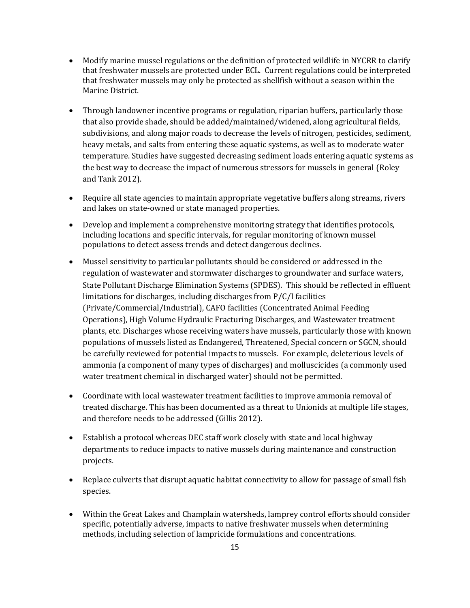- Modify marine mussel regulations or the definition of protected wildlife in NYCRR to clarify that freshwater mussels are protected under ECL. Current regulations could be interpreted that freshwater mussels may only be protected as shellfish without a season within the Marine District.
- Through landowner incentive programs or regulation, riparian buffers, particularly those that also provide shade, should be added/maintained/widened, along agricultural fields, subdivisions, and along major roads to decrease the levels of nitrogen, pesticides, sediment, heavy metals, and salts from entering these aquatic systems, as well as to moderate water temperature. Studies have suggested decreasing sediment loads entering aquatic systems as the best way to decrease the impact of numerous stressors for mussels in general (Roley and Tank 2012).
- Require all state agencies to maintain appropriate vegetative buffers along streams, rivers and lakes on state-owned or state managed properties.
- Develop and implement a comprehensive monitoring strategy that identifies protocols, including locations and specific intervals, for regular monitoring of known mussel populations to detect assess trends and detect dangerous declines.
- Mussel sensitivity to particular pollutants should be considered or addressed in the regulation of wastewater and stormwater discharges to groundwater and surface waters, State Pollutant Discharge Elimination Systems (SPDES). This should be reflected in effluent limitations for discharges, including discharges from P/C/I facilities (Private/Commercial/Industrial), CAFO facilities (Concentrated Animal Feeding Operations), High Volume Hydraulic Fracturing Discharges, and Wastewater treatment plants, etc. Discharges whose receiving waters have mussels, particularly those with known populations of mussels listed as Endangered, Threatened, Special concern or SGCN, should be carefully reviewed for potential impacts to mussels. For example, deleterious levels of ammonia (a component of many types of discharges) and molluscicides (a commonly used water treatment chemical in discharged water) should not be permitted.
- Coordinate with local wastewater treatment facilities to improve ammonia removal of treated discharge. This has been documented as a threat to Unionids at multiple life stages, and therefore needs to be addressed (Gillis 2012).
- Establish a protocol whereas DEC staff work closely with state and local highway departments to reduce impacts to native mussels during maintenance and construction projects.
- Replace culverts that disrupt aquatic habitat connectivity to allow for passage of small fish species.
- Within the Great Lakes and Champlain watersheds, lamprey control efforts should consider specific, potentially adverse, impacts to native freshwater mussels when determining methods, including selection of lampricide formulations and concentrations.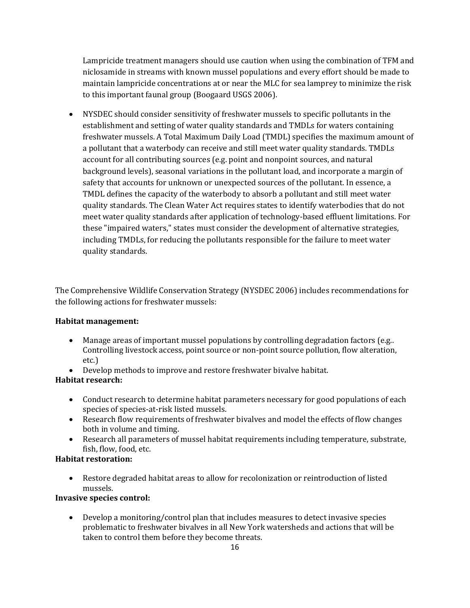Lampricide treatment managers should use caution when using the combination of TFM and niclosamide in streams with known mussel populations and every effort should be made to maintain lampricide concentrations at or near the MLC for sea lamprey to minimize the risk to this important faunal group (Boogaard USGS 2006).

• NYSDEC should consider sensitivity of freshwater mussels to specific pollutants in the establishment and setting of water quality standards and TMDLs for waters containing freshwater mussels. A Total Maximum Daily Load (TMDL) specifies the maximum amount of a pollutant that a waterbody can receive and still meet water quality standards. TMDLs account for all contributing sources (e.g. point and nonpoint sources, and natural background levels), seasonal variations in the pollutant load, and incorporate a margin of safety that accounts for unknown or unexpected sources of the pollutant. In essence, a TMDL defines the capacity of the waterbody to absorb a pollutant and still meet water quality standards. The Clean Water Act requires states to identify waterbodies that do not meet water quality standards after application of technology-based effluent limitations. For these "impaired waters," states must consider the development of alternative strategies, including TMDLs, for reducing the pollutants responsible for the failure to meet water quality standards.

The Comprehensive Wildlife Conservation Strategy (NYSDEC 2006) includes recommendations for the following actions for freshwater mussels:

## **Habitat management:**

- Manage areas of important mussel populations by controlling degradation factors (e.g..) Controlling livestock access, point source or non-point source pollution, flow alteration, etc.)
- Develop methods to improve and restore freshwater bivalve habitat.

# **Habitat research:**

- Conduct research to determine habitat parameters necessary for good populations of each species of species-at-risk listed mussels.
- Research flow requirements of freshwater bivalves and model the effects of flow changes both in volume and timing.
- Research all parameters of mussel habitat requirements including temperature, substrate, fish, flow, food, etc.

# **Habitat restoration:**

• Restore degraded habitat areas to allow for recolonization or reintroduction of listed mussels.

# **Invasive species control:**

• Develop a monitoring/control plan that includes measures to detect invasive species problematic to freshwater bivalves in all New York watersheds and actions that will be taken to control them before they become threats.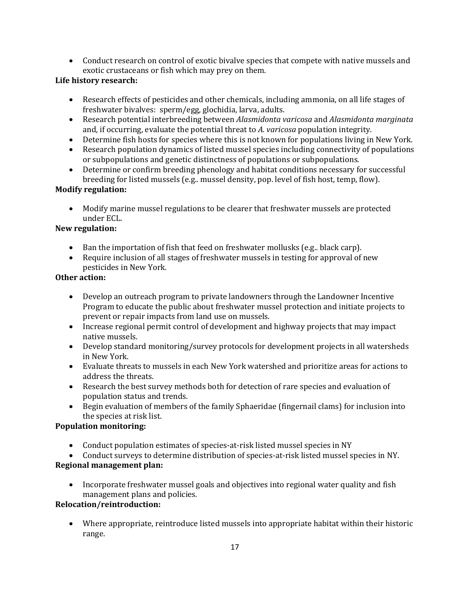• Conduct research on control of exotic bivalve species that compete with native mussels and exotic crustaceans or fish which may prey on them.

# **Life history research:**

- Research effects of pesticides and other chemicals, including ammonia, on all life stages of freshwater bivalves: sperm/egg, glochidia, larva, adults.
- Research potential interbreeding between *Alasmidonta varicosa* and *Alasmidonta marginata* and, if occurring, evaluate the potential threat to *A. varicosa* population integrity.
- Determine fish hosts for species where this is not known for populations living in New York.
- Research population dynamics of listed mussel species including connectivity of populations or subpopulations and genetic distinctness of populations or subpopulations.
- Determine or confirm breeding phenology and habitat conditions necessary for successful breeding for listed mussels (e.g.. mussel density, pop. level of fish host, temp, flow).

# **Modify regulation:**

• Modify marine mussel regulations to be clearer that freshwater mussels are protected under ECL.

## **New regulation:**

- Ban the importation of fish that feed on freshwater mollusks (e.g.. black carp).
- Require inclusion of all stages of freshwater mussels in testing for approval of new pesticides in New York*.*

## **Other action:**

- Develop an outreach program to private landowners through the Landowner Incentive Program to educate the public about freshwater mussel protection and initiate projects to prevent or repair impacts from land use on mussels.
- Increase regional permit control of development and highway projects that may impact native mussels.
- Develop standard monitoring/survey protocols for development projects in all watersheds in New York.
- Evaluate threats to mussels in each New York watershed and prioritize areas for actions to address the threats.
- Research the best survey methods both for detection of rare species and evaluation of population status and trends.
- Begin evaluation of members of the family Sphaeridae (fingernail clams) for inclusion into the species at risk list.

# **Population monitoring:**

- Conduct population estimates of species-at-risk listed mussel species in NY
- Conduct surveys to determine distribution of species-at-risk listed mussel species in NY.

# **Regional management plan:**

• Incorporate freshwater mussel goals and objectives into regional water quality and fish management plans and policies.

# **Relocation/reintroduction:**

• Where appropriate, reintroduce listed mussels into appropriate habitat within their historic range.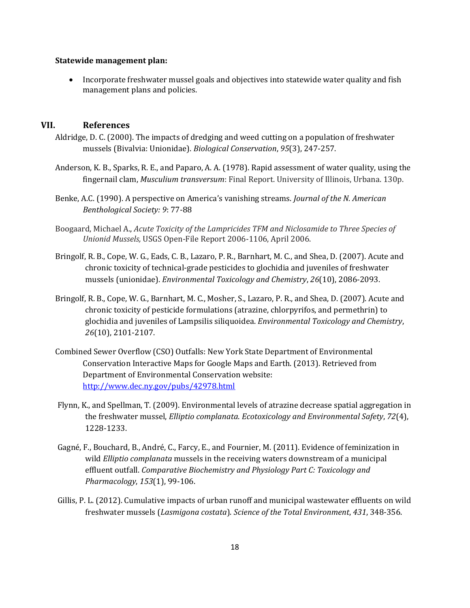#### **Statewide management plan:**

• Incorporate freshwater mussel goals and objectives into statewide water quality and fish management plans and policies.

#### **VII. References**

- Aldridge, D. C. (2000). The impacts of dredging and weed cutting on a population of freshwater mussels (Bivalvia: Unionidae). *Biological Conservation*, *95*(3), 247-257.
- Anderson, K. B., Sparks, R. E., and Paparo, A. A. (1978). Rapid assessment of water quality, using the fingernail clam, *Musculium transversum*: Final Report. University of Illinois, Urbana. 130p.
- Benke, A.C. (1990). A perspective on America's vanishing streams. *Journal of the N. American Benthological Society: 9*: 77-88
- Boogaard, Michael A., *Acute Toxicity of the Lampricides TFM and Niclosamide to Three Species of Unionid Mussels,* USGS Open-File Report 2006-1106, April 2006.
- Bringolf, R. B., Cope, W. G., Eads, C. B., Lazaro, P. R., Barnhart, M. C., and Shea, D. (2007). Acute and chronic toxicity of technical‐grade pesticides to glochidia and juveniles of freshwater mussels (unionidae). *Environmental Toxicology and Chemistry*, *26*(10), 2086-2093.
- Bringolf, R. B., Cope, W. G., Barnhart, M. C., Mosher, S., Lazaro, P. R., and Shea, D. (2007). Acute and chronic toxicity of pesticide formulations (atrazine, chlorpyrifos, and permethrin) to glochidia and juveniles of Lampsilis siliquoidea. *Environmental Toxicology and Chemistry*, *26*(10), 2101-2107.
- Combined Sewer Overflow (CSO) Outfalls: New York State Department of Environmental Conservation Interactive Maps for Google Maps and Earth. (2013). Retrieved from Department of Environmental Conservation website: <http://www.dec.ny.gov/pubs/42978.html>
- Flynn, K., and Spellman, T. (2009). Environmental levels of atrazine decrease spatial aggregation in the freshwater mussel, *Elliptio complanata*. *Ecotoxicology and Environmental Safety*, *72*(4), 1228-1233.
- Gagné, F., Bouchard, B., André, C., Farcy, E., and Fournier, M. (2011). Evidence of feminization in wild *Elliptio complanata* mussels in the receiving waters downstream of a municipal effluent outfall. *Comparative Biochemistry and Physiology Part C: Toxicology and Pharmacology*, *153*(1), 99-106.
- Gillis, P. L. (2012). Cumulative impacts of urban runoff and municipal wastewater effluents on wild freshwater mussels (*Lasmigona costata*). *Science of the Total Environment*, *431*, 348-356.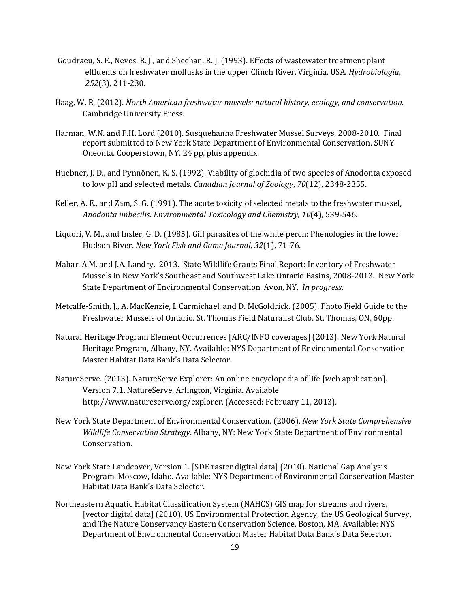- Goudraeu, S. E., Neves, R. J., and Sheehan, R. J. (1993). Effects of wastewater treatment plant effluents on freshwater mollusks in the upper Clinch River, Virginia, USA. *Hydrobiologia*, *252*(3), 211-230.
- Haag, W. R. (2012). *North American freshwater mussels: natural history, ecology, and conservation*. Cambridge University Press.
- Harman, W.N. and P.H. Lord (2010). Susquehanna Freshwater Mussel Surveys, 2008-2010. Final report submitted to New York State Department of Environmental Conservation. SUNY Oneonta. Cooperstown, NY. 24 pp, plus appendix.
- Huebner, J. D., and Pynnönen, K. S. (1992). Viability of glochidia of two species of Anodonta exposed to low pH and selected metals. *Canadian Journal of Zoology*, *70*(12), 2348-2355.
- Keller, A. E., and Zam, S. G. (1991). The acute toxicity of selected metals to the freshwater mussel, *Anodonta imbecilis*. *Environmental Toxicology and Chemistry*, *10*(4), 539-546.
- Liquori, V. M., and Insler, G. D. (1985). Gill parasites of the white perch: Phenologies in the lower Hudson River. *New York Fish and Game Journal*, *32*(1), 71-76.
- Mahar, A.M. and J.A. Landry. 2013. State Wildlife Grants Final Report: Inventory of Freshwater Mussels in New York's Southeast and Southwest Lake Ontario Basins, 2008-2013. New York State Department of Environmental Conservation. Avon, NY. *In progress*.
- Metcalfe-Smith, J., A. MacKenzie, I. Carmichael, and D. McGoldrick. (2005). Photo Field Guide to the Freshwater Mussels of Ontario. St. Thomas Field Naturalist Club. St. Thomas, ON, 60pp.
- Natural Heritage Program Element Occurrences [ARC/INFO coverages] (2013). New York Natural Heritage Program, Albany, NY. Available: NYS Department of Environmental Conservation Master Habitat Data Bank's Data Selector.
- NatureServe. (2013). NatureServe Explorer: An online encyclopedia of life [web application]. Version 7.1. NatureServe, Arlington, Virginia. Available http://www.natureserve.org/explorer. (Accessed: February 11, 2013).
- New York State Department of Environmental Conservation. (2006). *New York State Comprehensive Wildlife Conservation Strategy*. Albany, NY: New York State Department of Environmental Conservation.
- New York State Landcover, Version 1. [SDE raster digital data] (2010). National Gap Analysis Program. Moscow, Idaho. Available: NYS Department of Environmental Conservation Master Habitat Data Bank's Data Selector.
- Northeastern Aquatic Habitat Classification System (NAHCS) GIS map for streams and rivers, [vector digital data] (2010). US Environmental Protection Agency, the US Geological Survey, and The Nature Conservancy Eastern Conservation Science. Boston, MA. Available: NYS Department of Environmental Conservation Master Habitat Data Bank's Data Selector.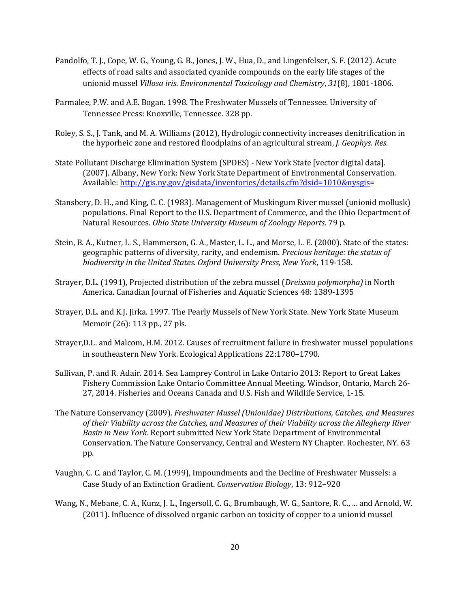- Pandolfo, T. J., Cope, W. G., Young, G. B., Jones, J. W., Hua, D., and Lingenfelser, S. F. (2012). Acute effects of road salts and associated cyanide compounds on the early life stages of the unionid mussel *Villosa iris*. *Environmental Toxicology and Chemistry*, *31*(8), 1801-1806.
- Parmalee, P.W. and A.E. Bogan. 1998. The Freshwater Mussels of Tennessee. University of Tennessee Press: Knoxville, Tennessee. 328 pp.
- Roley, S. S., J. Tank, and M. A. Williams (2012), Hydrologic connectivity increases denitrification in the hyporheic zone and restored floodplains of an agricultural stream, *J. Geophys. Res.*
- State Pollutant Discharge Elimination System (SPDES) New York State [vector digital data]. (2007). Albany, New York: New York State Department of Environmental Conservation. Available[: http://gis.ny.gov/gisdata/inventories/details.cfm?dsid=1010&nysgis=](http://gis.ny.gov/gisdata/inventories/details.cfm?dsid=1010&nysgis)
- Stansbery, D. H., and King, C. C. (1983). Management of Muskingum River mussel (unionid mollusk) populations. Final Report to the U.S. Department of Commerce, and the Ohio Department of Natural Resources. *Ohio State University Museum of Zoology Reports*. 79 p.
- Stein, B. A., Kutner, L. S., Hammerson, G. A., Master, L. L., and Morse, L. E. (2000). State of the states: geographic patterns of diversity, rarity, and endemism. *Precious heritage: the status of biodiversity in the United States. Oxford University Press, New York*, 119-158.
- Strayer, D.L. (1991), Projected distribution of the zebra mussel (*Dreissna polymorpha)* in North America. Canadian Journal of Fisheries and Aquatic Sciences 48: 1389-1395
- Strayer, D.L. and K.J. Jirka. 1997. The Pearly Mussels of New York State. New York State Museum Memoir (26): 113 pp., 27 pls.
- Strayer,D.L. and Malcom, H.M. 2012. Causes of recruitment failure in freshwater mussel populations in southeastern New York. Ecological Applications 22:1780–1790.
- Sullivan, P. and R. Adair. 2014. Sea Lamprey Control in Lake Ontario 2013: Report to Great Lakes Fishery Commission Lake Ontario Committee Annual Meeting. Windsor, Ontario, March 26- 27, 2014. Fisheries and Oceans Canada and U.S. Fish and Wildlife Service, 1-15.
- The Nature Conservancy (2009). *Freshwater Mussel (Unionidae) Distributions, Catches, and Measures of their Viability across the Catches, and Measures of their Viability across the Allegheny River Basin in New York.* Report submitted New York State Department of Environmental Conservation. The Nature Conservancy, Central and Western NY Chapter. Rochester, NY. 63 pp.
- Vaughn, C. C. and Taylor, C. M. (1999), Impoundments and the Decline of Freshwater Mussels: a Case Study of an Extinction Gradient. *Conservation Biology*, 13: 912–920
- Wang, N., Mebane, C. A., Kunz, J. L., Ingersoll, C. G., Brumbaugh, W. G., Santore, R. C., ... and Arnold, W. (2011). Influence of dissolved organic carbon on toxicity of copper to a unionid mussel